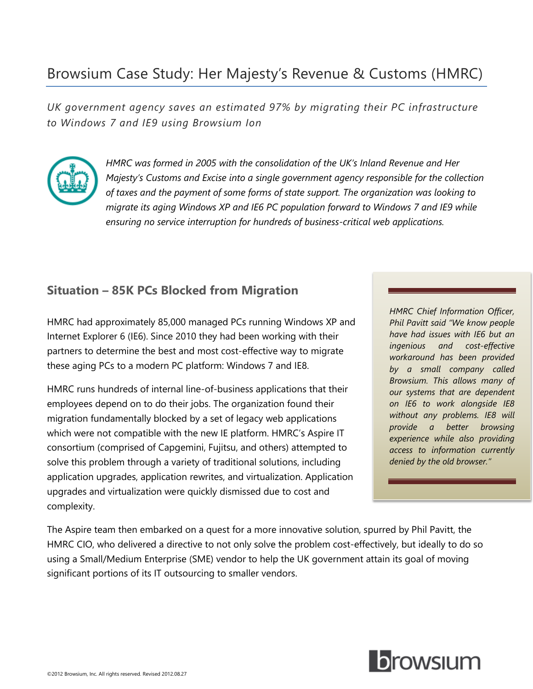## Browsium Case Study: Her Majesty's Revenue & Customs (HMRC)

*UK government agency saves an estimated 97% by migrating their PC infrastructure to Windows 7 and IE9 using Browsium Ion*



*HMRC was formed in 2005 with the consolidation of the UK's Inland Revenue and Her Majesty's Customs and Excise into a single government agency responsible for the collection of taxes and the payment of some forms of state support. The organization was looking to migrate its aging Windows XP and IE6 PC population forward to Windows 7 and IE9 while ensuring no service interruption for hundreds of business-critical web applications.*

## **Situation – 85K PCs Blocked from Migration**

HMRC had approximately 85,000 managed PCs running Windows XP and Internet Explorer 6 (IE6). Since 2010 they had been working with their partners to determine the best and most cost-effective way to migrate these aging PCs to a modern PC platform: Windows 7 and IE8.

HMRC runs hundreds of internal line-of-business applications that their employees depend on to do their jobs. The organization found their migration fundamentally blocked by a set of legacy web applications which were not compatible with the new IE platform. HMRC's Aspire IT consortium (comprised of Capgemini, Fujitsu, and others) attempted to solve this problem through a variety of traditional solutions, including application upgrades, application rewrites, and virtualization. Application upgrades and virtualization were quickly dismissed due to cost and complexity.

*HMRC Chief Information Officer, Phil Pavitt said "We know people have had issues with IE6 but an ingenious and cost-effective workaround has been provided by a small company called Browsium. This allows many of our systems that are dependent on IE6 to work alongside IE8 without any problems. IE8 will provide a better browsing experience while also providing access to information currently denied by the old browser."*

The Aspire team then embarked on a quest for a more innovative solution, spurred by Phil Pavitt, the HMRC CIO, who delivered a directive to not only solve the problem cost-effectively, but ideally to do so using a Small/Medium Enterprise (SME) vendor to help the UK government attain its goal of moving significant portions of its IT outsourcing to smaller vendors.